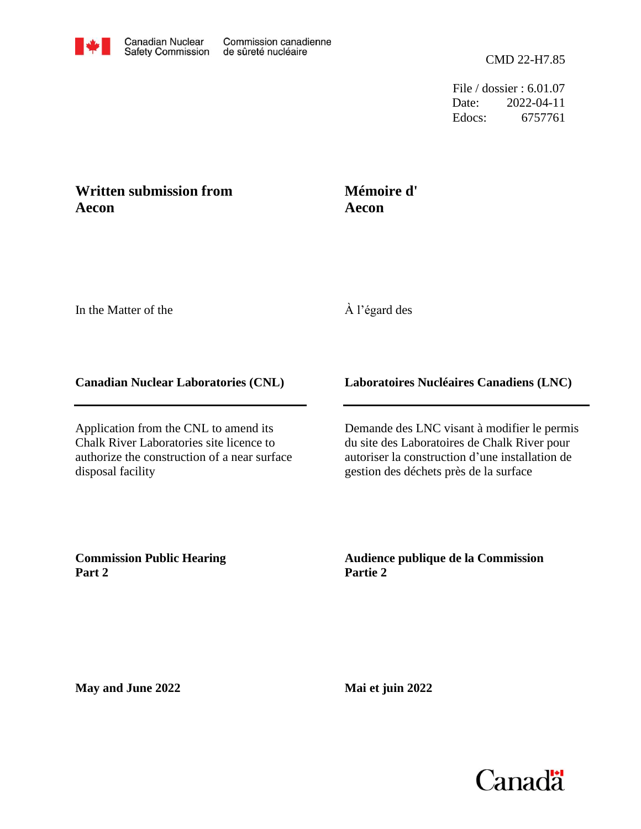File / dossier : 6.01.07 Date: 2022-04-11 Edocs: 6757761

## **Written submission from Aecon**

## **Aecon Mémoire d'**

In the Matter of the

## À l'égard des

## **Canadian Nuclear Laboratories (CNL)**

Application from the CNL to amend its Chalk River Laboratories site licence to authorize the construction of a near surface disposal facility

**Laboratoires Nucléaires Canadiens (LNC)**

Demande des LNC visant à modifier le permis du site des Laboratoires de Chalk River pour autoriser la construction d'une installation de gestion des déchets près de la surface

**Commission Public Hearing Part 2**

**Audience publique de la Commission Partie 2**

**May and June 2022**

**Mai et juin 2022**

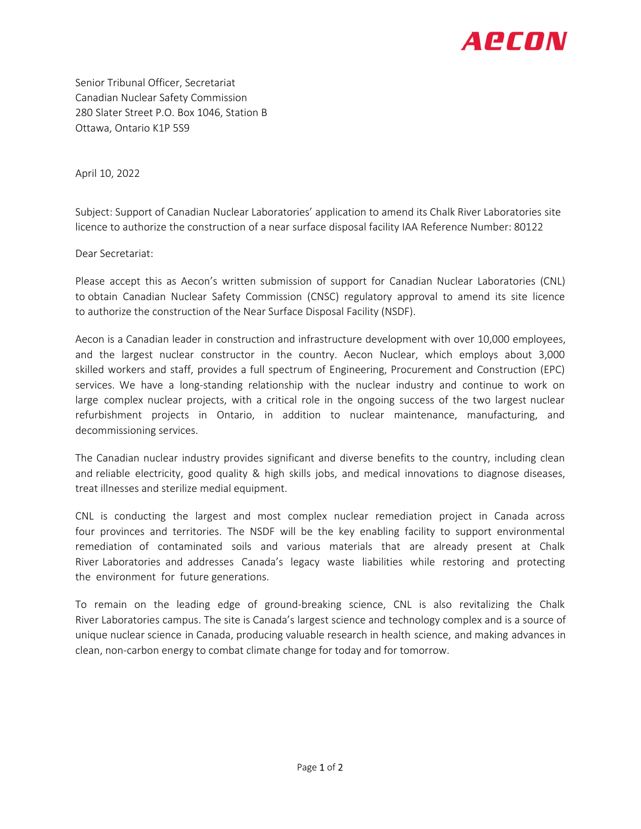

Senior Tribunal Officer, Secretariat Canadian Nuclear Safety Commission 280 Slater Street P.O. Box 1046, Station B Ottawa, Ontario K1P 5S9

April 10, 2022

Subject: Support of Canadian Nuclear Laboratories' application to amend its Chalk River Laboratories site licence to authorize the construction of a near surface disposal facility IAA Reference Number: 80122

Dear Secretariat:

Please accept this as Aecon's written submission of support for Canadian Nuclear Laboratories (CNL) to obtain Canadian Nuclear Safety Commission (CNSC) regulatory approval to amend its site licence to authorize the construction of the Near Surface Disposal Facility (NSDF).

Aecon is a Canadian leader in construction and infrastructure development with over 10,000 employees, and the largest nuclear constructor in the country. Aecon Nuclear, which employs about 3,000 skilled workers and staff, provides a full spectrum of Engineering, Procurement and Construction (EPC) services. We have a long-standing relationship with the nuclear industry and continue to work on large complex nuclear projects, with a critical role in the ongoing success of the two largest nuclear refurbishment projects in Ontario, in addition to nuclear maintenance, manufacturing, and decommissioning services.

The Canadian nuclear industry provides significant and diverse benefits to the country, including clean and reliable electricity, good quality & high skills jobs, and medical innovations to diagnose diseases, treat illnesses and sterilize medial equipment.

CNL is conducting the largest and most complex nuclear remediation project in Canada across four provinces and territories. The NSDF will be the key enabling facility to support environmental remediation of contaminated soils and various materials that are already present at Chalk River Laboratories and addresses Canada's legacy waste liabilities while restoring and protecting the environment for future generations.

To remain on the leading edge of ground-breaking science, CNL is also revitalizing the Chalk River Laboratories campus. The site is Canada's largest science and technology complex and is a source of unique nuclear science in Canada, producing valuable research in health science, and making advances in clean, non-carbon energy to combat climate change for today and for tomorrow.